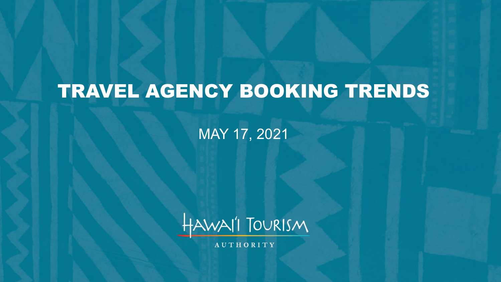# TRAVEL AGENCY BOOKING TRENDS

MAY 17, 2021



**AUTHORITY**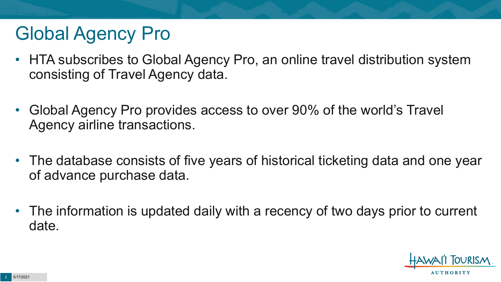## Global Agency Pro

- HTA subscribes to Global Agency Pro, an online travel distribution system consisting of Travel Agency data.
- Global Agency Pro provides access to over 90% of the world's Travel Agency airline transactions.
- The database consists of five years of historical ticketing data and one year of advance purchase data.
- The information is updated daily with a recency of two days prior to current date.

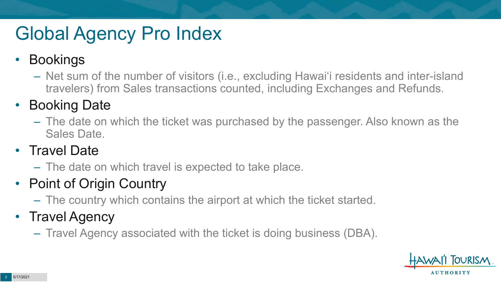# Global Agency Pro Index

#### • Bookings

– Net sum of the number of visitors (i.e., excluding Hawai'i residents and inter-island travelers) from Sales transactions counted, including Exchanges and Refunds.

#### • Booking Date

– The date on which the ticket was purchased by the passenger. Also known as the Sales Date.

#### • Travel Date

– The date on which travel is expected to take place.

#### • Point of Origin Country

– The country which contains the airport at which the ticket started.

#### • Travel Agency

– Travel Agency associated with the ticket is doing business (DBA).

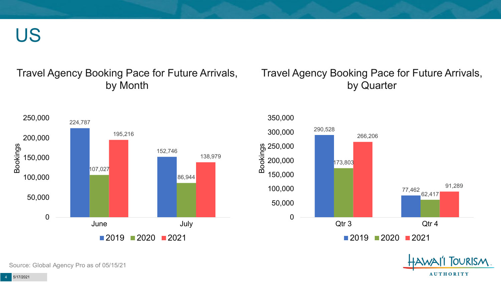US

#### Travel Agency Booking Pace for Future Arrivals, by Month

#### Travel Agency Booking Pace for Future Arrivals, by Quarter







Source: Global Agency Pro as of 05/15/21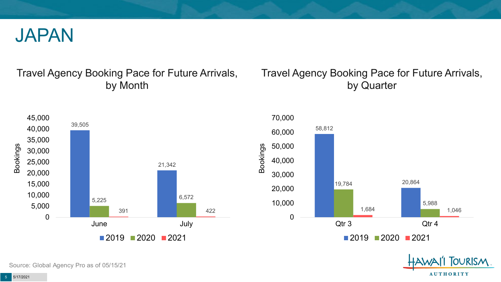

#### Travel Agency Booking Pace for Future Arrivals, by Month

#### Travel Agency Booking Pace for Future Arrivals, by Quarter







Source: Global Agency Pro as of 05/15/21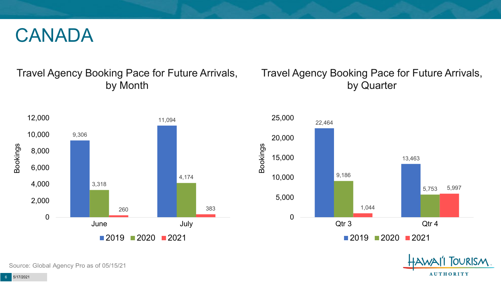#### CANADA

#### Travel Agency Booking Pace for Future Arrivals, by Month



#### Travel Agency Booking Pace for Future Arrivals, by Quarter





Source: Global Agency Pro as of 05/15/21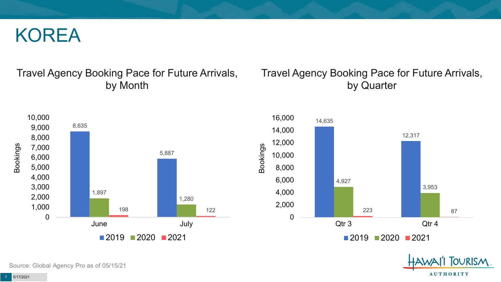#### KOREA

#### Travel Agency Booking Pace for Future Arrivals, by Month



#### Travel Agency Booking Pace for Future Arrivals, by Quarter





Source: Global Agency Pro as of 05/15/21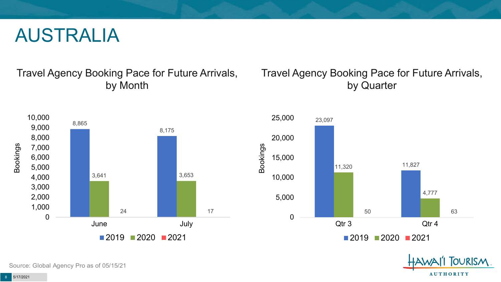#### AUSTRALIA

Travel Agency Booking Pace for Future Arrivals, by Month



#### Travel Agency Booking Pace for Future Arrivals, by Quarter





Source: Global Agency Pro as of 05/15/21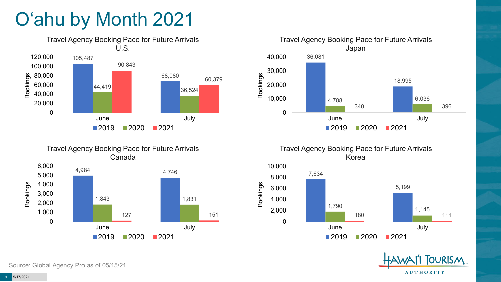# O'ahu by Month 2021







Travel Agency Booking Pace for Future Arrivals Korea





Source: Global Agency Pro as of 05/15/21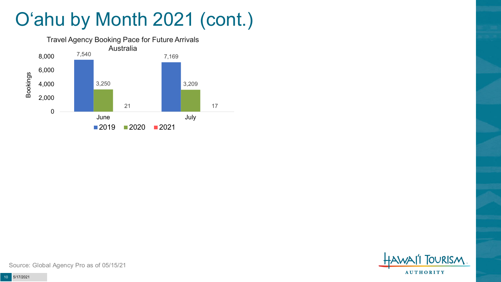## O'ahu by Month 2021 (cont.)





Source: Global Agency Pro as of 05/15/21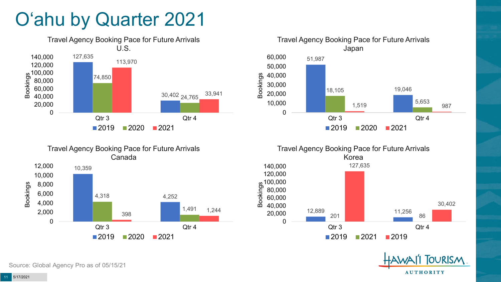### O'ahu by Quarter 2021







**TOURISM AUTHORITY** 

30,402

10,359 4,318 4,252 0 2,000 4,000 6,000 8,000 10,000 12,000 Bookings

Source: Global Agency Pro as of 05/15/21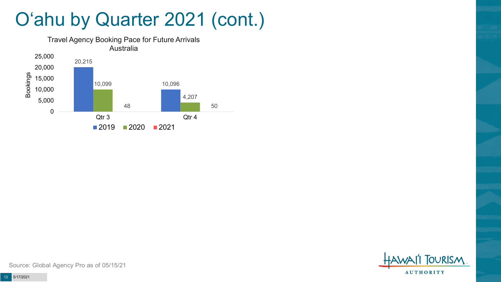#### O'ahu by Quarter 2021 (cont.)





Source: Global Agency Pro as of 05/15/21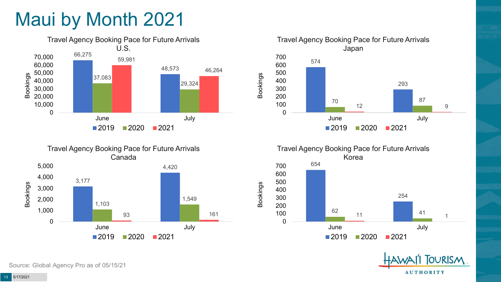### Maui by Month 2021











Source: Global Agency Pro as of 05/15/21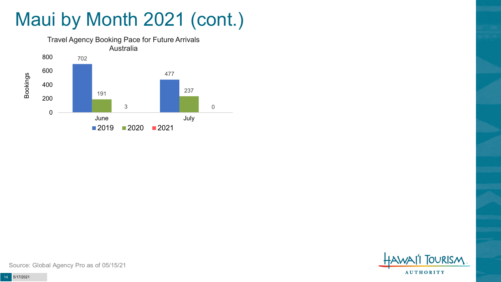# Maui by Month 2021 (cont.)





Source: Global Agency Pro as of 05/15/21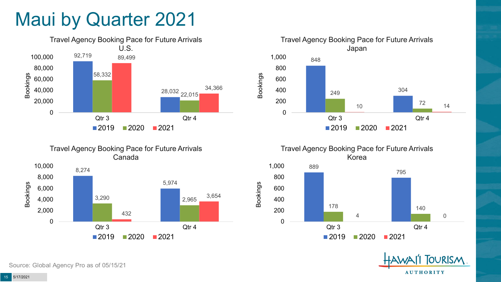#### Maui by Quarter 2021







Travel Agency Booking Pace for Future Arrivals Korea 889 795 1,000

Bookings





Source: Global Agency Pro as of 05/15/21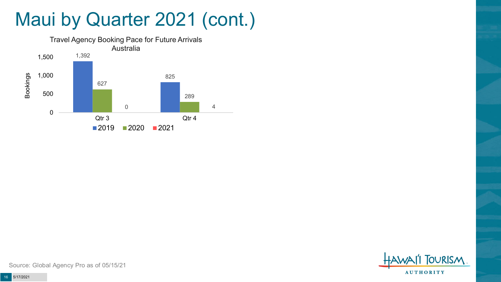#### Maui by Quarter 2021 (cont.)





Source: Global Agency Pro as of 05/15/21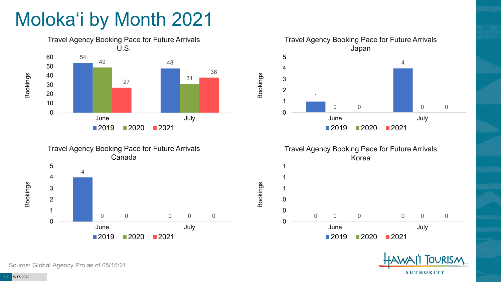## Moloka'i by Month 2021









Bookings





Source: Global Agency Pro as of 05/15/21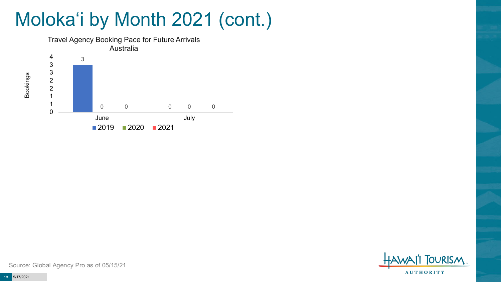## Moloka'i by Month 2021 (cont.)



**TOURISM AUTHORITY** 

Source: Global Agency Pro as of 05/15/21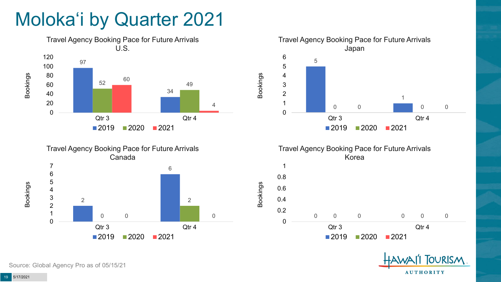### Moloka'i by Quarter 2021









Bookings



Source: Global Agency Pro as of 05/15/21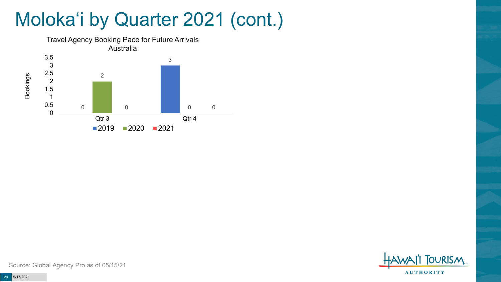### Moloka'i by Quarter 2021 (cont.)



**TOURISM AUTHORITY** 

Source: Global Agency Pro as of 05/15/21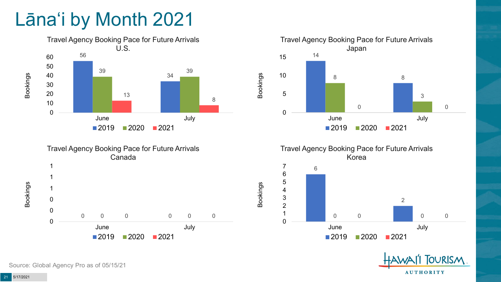### Lāna'i by Month 2021









Bookings





Bookings

Bookings

Source: Global Agency Pro as of 05/15/21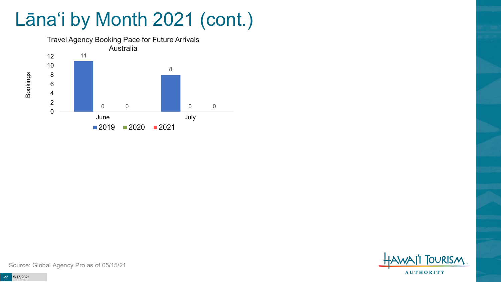## Lāna'i by Month 2021 (cont.)



**TOURISM AUTHORITY** 

Source: Global Agency Pro as of 05/15/21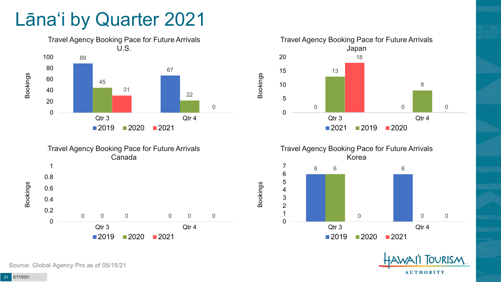#### Lāna'i by Quarter 2021











Source: Global Agency Pro as of 05/15/21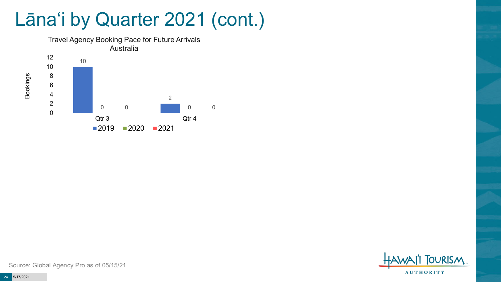#### Lāna'i by Quarter 2021 (cont.)



**TOURISM AUTHORITY** 

Source: Global Agency Pro as of 05/15/21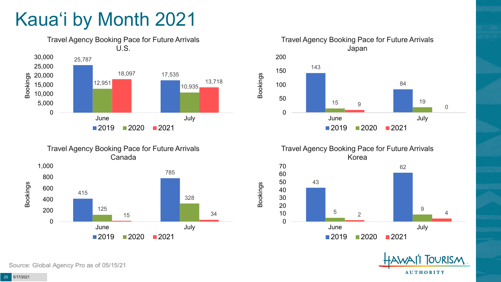## Kaua'i by Month 2021













Source: Global Agency Pro as of 05/15/21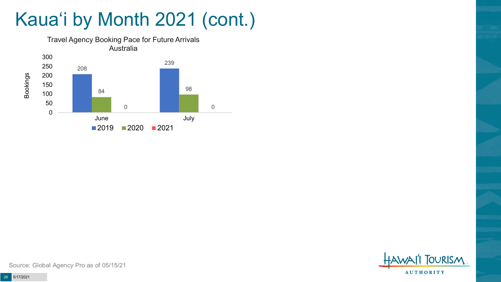## Kaua'i by Month 2021 (cont.)





Source: Global Agency Pro as of 05/15/21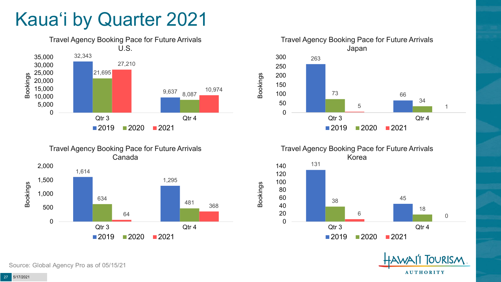### Kaua'i by Quarter 2021











Source: Global Agency Pro as of 05/15/21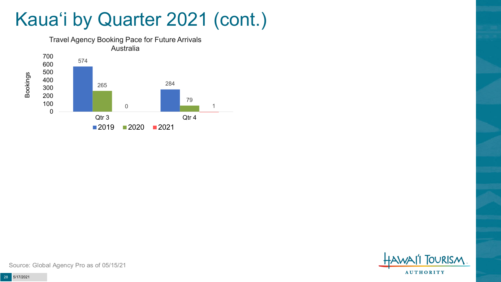### Kaua'i by Quarter 2021 (cont.)



**FOURISM AUTHORITY** 

Source: Global Agency Pro as of 05/15/21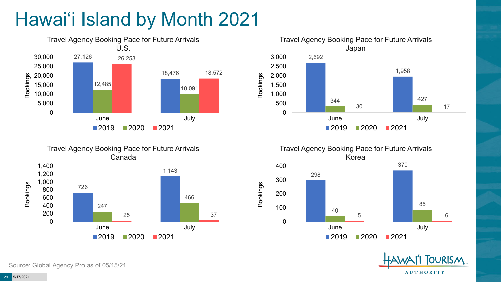# Hawai'i Island by Month 2021













Source: Global Agency Pro as of 05/15/21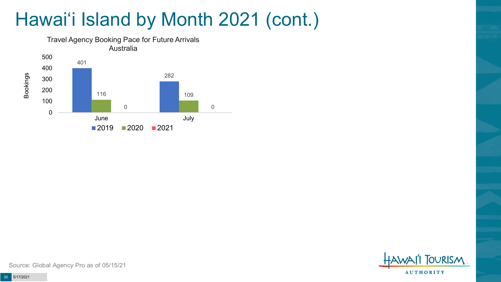### Hawai'i Island by Month 2021 (cont.)





Source: Global Agency Pro as of 05/15/21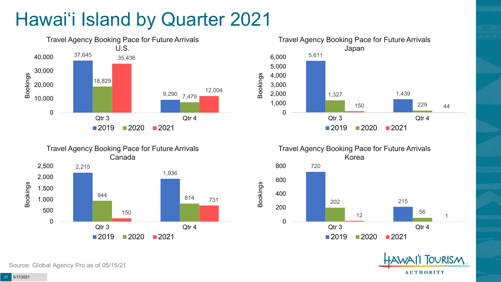# Hawai'i Island by Quarter 2021







Travel Agency Booking Pace for Future Arrivals Korea 720 202 215  $\frac{12}{12}$  1 0 200 400 600 800 Qtr 3 Qtr 4  $2019$  2020 2021

Bookings



Source: Global Agency Pro as of 05/15/21